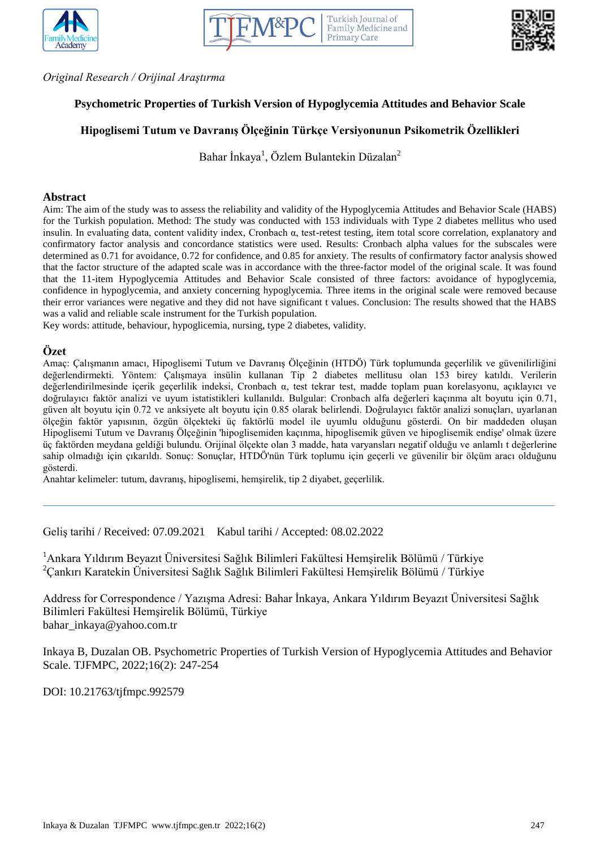





*Original Research / Orijinal Araştırma*

# **Psychometric Properties of Turkish Version of Hypoglycemia Attitudes and Behavior Scale**

# **Hipoglisemi Tutum ve Davranış Ölçeğinin Türkçe Versiyonunun Psikometrik Özellikleri**

Bahar İnkaya<sup>1</sup>, Özlem Bulantekin Düzalan<sup>2</sup>

#### **Abstract**

Aim: The aim of the study was to assess the reliability and validity of the Hypoglycemia Attitudes and Behavior Scale (HABS) for the Turkish population. Method: The study was conducted with 153 individuals with Type 2 diabetes mellitus who used insulin. In evaluating data, content validity index, Cronbach α, test-retest testing, item total score correlation, explanatory and confirmatory factor analysis and concordance statistics were used. Results: Cronbach alpha values for the subscales were determined as 0.71 for avoidance, 0.72 for confidence, and 0.85 for anxiety. The results of confirmatory factor analysis showed that the factor structure of the adapted scale was in accordance with the three-factor model of the original scale. It was found that the 11-item Hypoglycemia Attitudes and Behavior Scale consisted of three factors: avoidance of hypoglycemia, confidence in hypoglycemia, and anxiety concerning hypoglycemia. Three items in the original scale were removed because their error variances were negative and they did not have significant t values. Conclusion: The results showed that the HABS was a valid and reliable scale instrument for the Turkish population.

Key words: attitude, behaviour, hypoglicemia, nursing, type 2 diabetes, validity.

#### **Özet**

Amaç: Çalışmanın amacı, Hipoglisemi Tutum ve Davranış Ölçeğinin (HTDÖ) Türk toplumunda geçerlilik ve güvenilirliğini değerlendirmekti. Yöntem: Çalışmaya insülin kullanan Tip 2 diabetes mellitusu olan 153 birey katıldı. Verilerin değerlendirilmesinde içerik geçerlilik indeksi, Cronbach α, test tekrar test, madde toplam puan korelasyonu, açıklayıcı ve doğrulayıcı faktör analizi ve uyum istatistikleri kullanıldı. Bulgular: Cronbach alfa değerleri kaçınma alt boyutu için 0.71, güven alt boyutu için 0.72 ve anksiyete alt boyutu için 0.85 olarak belirlendi. Doğrulayıcı faktör analizi sonuçları, uyarlanan ölçeğin faktör yapısının, özgün ölçekteki üç faktörlü model ile uyumlu olduğunu gösterdi. On bir maddeden oluşan Hipoglisemi Tutum ve Davranış Ölçeğinin 'hipoglisemiden kaçınma, hipoglisemik güven ve hipoglisemik endişe' olmak üzere üç faktörden meydana geldiği bulundu. Orijinal ölçekte olan 3 madde, hata varyansları negatif olduğu ve anlamlı t değerlerine sahip olmadığı için çıkarıldı. Sonuç: Sonuçlar, HTDÖ'nün Türk toplumu için geçerli ve güvenilir bir ölçüm aracı olduğunu gösterdi.

Anahtar kelimeler: tutum, davranış, hipoglisemi, hemşirelik, tip 2 diyabet, geçerlilik.

Geliş tarihi / Received: 07.09.2021 Kabul tarihi / Accepted: 08.02.2022

<sup>1</sup>Ankara Yıldırım Beyazıt Üniversitesi Sağlık Bilimleri Fakültesi Hemşirelik Bölümü / Türkiye <sup>2</sup>Çankırı Karatekin Üniversitesi Sağlık Sağlık Bilimleri Fakültesi Hemşirelik Bölümü / Türkiye

Address for Correspondence / Yazışma Adresi: Bahar İnkaya, Ankara Yıldırım Beyazıt Üniversitesi Sağlık Bilimleri Fakültesi Hemşirelik Bölümü, Türkiye bahar\_inkaya@yahoo.com.tr

Inkaya B, Duzalan OB. Psychometric Properties of Turkish Version of Hypoglycemia Attitudes and Behavior Scale. TJFMPC, 2022;16(2): 247-254

DOI: 10.21763/tjfmpc.992579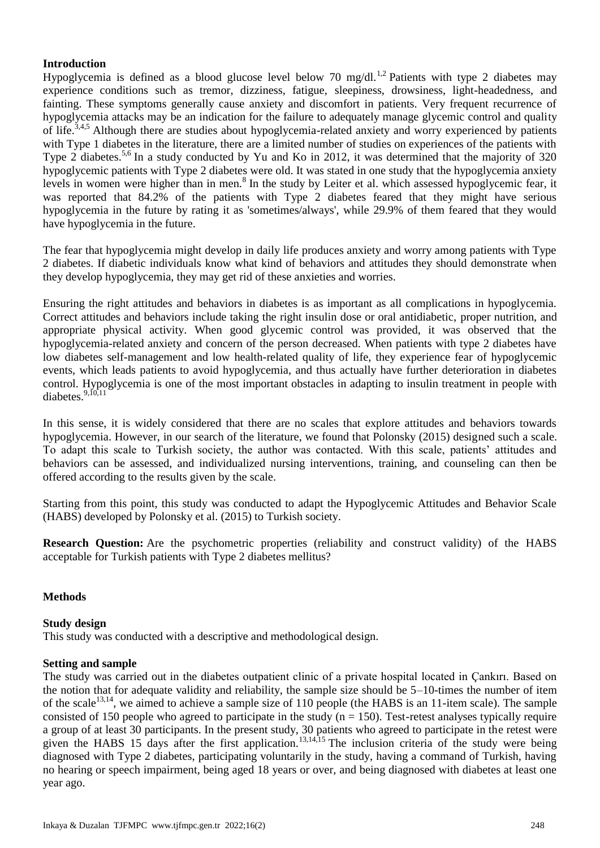# **Introduction**

Hypoglycemia is defined as a blood glucose level below 70 mg/dl.<sup>1,2</sup> Patients with type 2 diabetes may experience conditions such as tremor, dizziness, fatigue, sleepiness, drowsiness, light-headedness, and fainting. These symptoms generally cause anxiety and discomfort in patients. Very frequent recurrence of hypoglycemia attacks may be an indication for the failure to adequately manage glycemic control and quality of life.3,4,5 Although there are studies about hypoglycemia-related anxiety and worry experienced by patients with Type 1 diabetes in the literature, there are a limited number of studies on experiences of the patients with Type 2 diabetes.<sup>5,6</sup> In a study conducted by Yu and Ko in 2012, it was determined that the majority of 320 hypoglycemic patients with Type 2 diabetes were old. It was stated in one study that the hypoglycemia anxiety levels in women were higher than in men.<sup>8</sup> In the study by Leiter et al. which assessed hypoglycemic fear, it was reported that 84.2% of the patients with Type 2 diabetes feared that they might have serious hypoglycemia in the future by rating it as 'sometimes/always', while 29.9% of them feared that they would have hypoglycemia in the future.

The fear that hypoglycemia might develop in daily life produces anxiety and worry among patients with Type 2 diabetes. If diabetic individuals know what kind of behaviors and attitudes they should demonstrate when they develop hypoglycemia, they may get rid of these anxieties and worries.

Ensuring the right attitudes and behaviors in diabetes is as important as all complications in hypoglycemia. Correct attitudes and behaviors include taking the right insulin dose or oral antidiabetic, proper nutrition, and appropriate physical activity. When good glycemic control was provided, it was observed that the hypoglycemia-related anxiety and concern of the person decreased. When patients with type 2 diabetes have low diabetes self-management and low health-related quality of life, they experience fear of hypoglycemic events, which leads patients to avoid hypoglycemia, and thus actually have further deterioration in diabetes control. Hypoglycemia is one of the most important obstacles in adapting to insulin treatment in people with diabetes. $9,10,11$ 

In this sense, it is widely considered that there are no scales that explore attitudes and behaviors towards hypoglycemia. However, in our search of the literature, we found that Polonsky (2015) designed such a scale. To adapt this scale to Turkish society, the author was contacted. With this scale, patients' attitudes and behaviors can be assessed, and individualized nursing interventions, training, and counseling can then be offered according to the results given by the scale.

Starting from this point, this study was conducted to adapt the Hypoglycemic Attitudes and Behavior Scale (HABS) developed by Polonsky et al. (2015) to Turkish society.

**Research Question:** Are the psychometric properties (reliability and construct validity) of the HABS acceptable for Turkish patients with Type 2 diabetes mellitus?

# **Methods**

#### **Study design**

This study was conducted with a descriptive and methodological design.

#### **Setting and sample**

The study was carried out in the diabetes outpatient clinic of a private hospital located in Çankırı. Based on the notion that for adequate validity and reliability, the sample size should be 5–10-times the number of item of the scale<sup>13,14</sup>, we aimed to achieve a sample size of 110 people (the HABS is an 11-item scale). The sample consisted of 150 people who agreed to participate in the study  $(n = 150)$ . Test-retest analyses typically require a group of at least 30 participants. In the present study, 30 patients who agreed to participate in the retest were given the HABS 15 days after the first application.<sup>13,14,15</sup> The inclusion criteria of the study were being diagnosed with Type 2 diabetes, participating voluntarily in the study, having a command of Turkish, having no hearing or speech impairment, being aged 18 years or over, and being diagnosed with diabetes at least one year ago.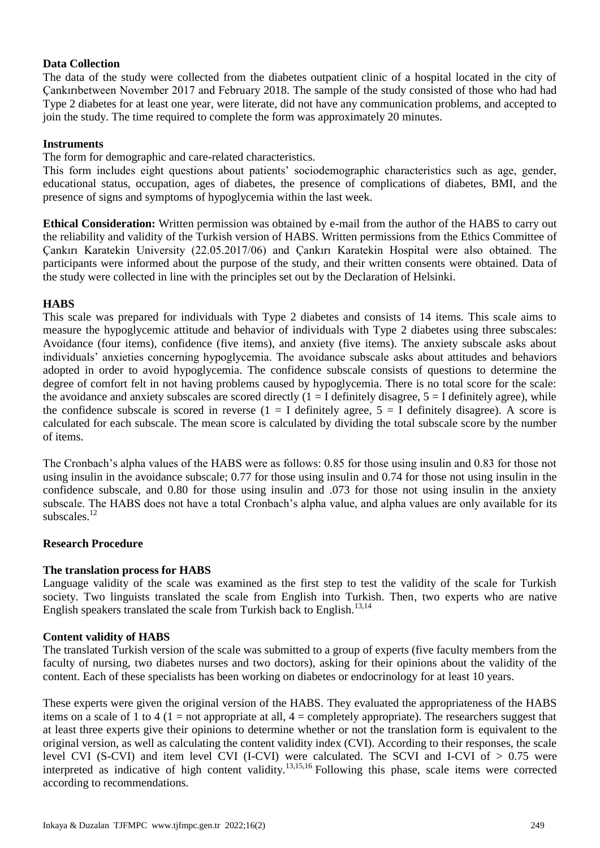# **Data Collection**

The data of the study were collected from the diabetes outpatient clinic of a hospital located in the city of Çankırıbetween November 2017 and February 2018. The sample of the study consisted of those who had had Type 2 diabetes for at least one year, were literate, did not have any communication problems, and accepted to join the study. The time required to complete the form was approximately 20 minutes.

#### **Instruments**

The form for demographic and care-related characteristics.

This form includes eight questions about patients' sociodemographic characteristics such as age, gender, educational status, occupation, ages of diabetes, the presence of complications of diabetes, BMI, and the presence of signs and symptoms of hypoglycemia within the last week.

**Ethical Consideration:** Written permission was obtained by e-mail from the author of the HABS to carry out the reliability and validity of the Turkish version of HABS. Written permissions from the Ethics Committee of Çankırı Karatekin University (22.05.2017/06) and Çankırı Karatekin Hospital were also obtained. The participants were informed about the purpose of the study, and their written consents were obtained. Data of the study were collected in line with the principles set out by the Declaration of Helsinki.

### **HABS**

This scale was prepared for individuals with Type 2 diabetes and consists of 14 items. This scale aims to measure the hypoglycemic attitude and behavior of individuals with Type 2 diabetes using three subscales: Avoidance (four items), confidence (five items), and anxiety (five items). The anxiety subscale asks about individuals' anxieties concerning hypoglycemia. The avoidance subscale asks about attitudes and behaviors adopted in order to avoid hypoglycemia. The confidence subscale consists of questions to determine the degree of comfort felt in not having problems caused by hypoglycemia. There is no total score for the scale: the avoidance and anxiety subscales are scored directly  $(1 = I$  definitely disagree,  $5 = I$  definitely agree), while the confidence subscale is scored in reverse  $(1 = I$  definitely agree,  $5 = I$  definitely disagree). A score is calculated for each subscale. The mean score is calculated by dividing the total subscale score by the number of items.

The Cronbach's alpha values of the HABS were as follows: 0.85 for those using insulin and 0.83 for those not using insulin in the avoidance subscale; 0.77 for those using insulin and 0.74 for those not using insulin in the confidence subscale, and 0.80 for those using insulin and .073 for those not using insulin in the anxiety subscale. The HABS does not have a total Cronbach's alpha value, and alpha values are only available for its subscales $^{12}$ 

# **Research Procedure**

# **The translation process for HABS**

Language validity of the scale was examined as the first step to test the validity of the scale for Turkish society. Two linguists translated the scale from English into Turkish. Then, two experts who are native English speakers translated the scale from Turkish back to English.<sup>13,14</sup>

# **Content validity of HABS**

The translated Turkish version of the scale was submitted to a group of experts (five faculty members from the faculty of nursing, two diabetes nurses and two doctors), asking for their opinions about the validity of the content. Each of these specialists has been working on diabetes or endocrinology for at least 10 years.

These experts were given the original version of the HABS. They evaluated the appropriateness of the HABS items on a scale of 1 to 4 (1 = not appropriate at all,  $4 =$  completely appropriate). The researchers suggest that at least three experts give their opinions to determine whether or not the translation form is equivalent to the original version, as well as calculating the content validity index (CVI). According to their responses, the scale level CVI (S-CVI) and item level CVI (I-CVI) were calculated. The SCVI and I-CVI of > 0.75 were interpreted as indicative of high content validity.<sup>13,15,16</sup> Following this phase, scale items were corrected according to recommendations.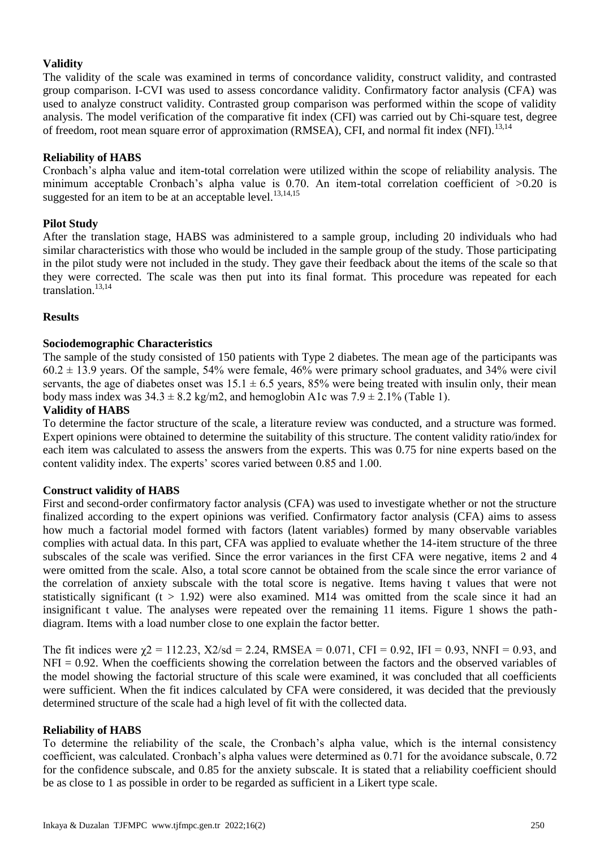# **Validity**

The validity of the scale was examined in terms of concordance validity, construct validity, and contrasted group comparison. I-CVI was used to assess concordance validity. Confirmatory factor analysis (CFA) was used to analyze construct validity. Contrasted group comparison was performed within the scope of validity analysis. The model verification of the comparative fit index (CFI) was carried out by Chi-square test, degree of freedom, root mean square error of approximation (RMSEA), CFI, and normal fit index (NFI).<sup>13,14</sup>

# **Reliability of HABS**

Cronbach's alpha value and item-total correlation were utilized within the scope of reliability analysis. The minimum acceptable Cronbach's alpha value is 0.70. An item-total correlation coefficient of >0.20 is suggested for an item to be at an acceptable level.<sup>13,14,15</sup>

### **Pilot Study**

After the translation stage, HABS was administered to a sample group, including 20 individuals who had similar characteristics with those who would be included in the sample group of the study. Those participating in the pilot study were not included in the study. They gave their feedback about the items of the scale so that they were corrected. The scale was then put into its final format. This procedure was repeated for each translation.13,14

### **Results**

### **Sociodemographic Characteristics**

The sample of the study consisted of 150 patients with Type 2 diabetes. The mean age of the participants was  $60.2 \pm 13.9$  years. Of the sample, 54% were female, 46% were primary school graduates, and 34% were civil servants, the age of diabetes onset was  $15.1 \pm 6.5$  years, 85% were being treated with insulin only, their mean body mass index was  $34.3 \pm 8.2$  kg/m2, and hemoglobin A1c was  $7.9 \pm 2.1\%$  (Table 1).

### **Validity of HABS**

To determine the factor structure of the scale, a literature review was conducted, and a structure was formed. Expert opinions were obtained to determine the suitability of this structure. The content validity ratio/index for each item was calculated to assess the answers from the experts. This was 0.75 for nine experts based on the content validity index. The experts' scores varied between 0.85 and 1.00.

### **Construct validity of HABS**

First and second-order confirmatory factor analysis (CFA) was used to investigate whether or not the structure finalized according to the expert opinions was verified. Confirmatory factor analysis (CFA) aims to assess how much a factorial model formed with factors (latent variables) formed by many observable variables complies with actual data. In this part, CFA was applied to evaluate whether the 14-item structure of the three subscales of the scale was verified. Since the error variances in the first CFA were negative, items 2 and 4 were omitted from the scale. Also, a total score cannot be obtained from the scale since the error variance of the correlation of anxiety subscale with the total score is negative. Items having t values that were not statistically significant ( $t > 1.92$ ) were also examined. M14 was omitted from the scale since it had an insignificant t value. The analyses were repeated over the remaining 11 items. Figure 1 shows the pathdiagram. Items with a load number close to one explain the factor better.

The fit indices were  $\chi$ 2 = 112.23, X2/sd = 2.24, RMSEA = 0.071, CFI = 0.92, IFI = 0.93, NNFI = 0.93, and  $NFI = 0.92$ . When the coefficients showing the correlation between the factors and the observed variables of the model showing the factorial structure of this scale were examined, it was concluded that all coefficients were sufficient. When the fit indices calculated by CFA were considered, it was decided that the previously determined structure of the scale had a high level of fit with the collected data.

#### **Reliability of HABS**

To determine the reliability of the scale, the Cronbach's alpha value, which is the internal consistency coefficient, was calculated. Cronbach's alpha values were determined as 0.71 for the avoidance subscale, 0.72 for the confidence subscale, and 0.85 for the anxiety subscale. It is stated that a reliability coefficient should be as close to 1 as possible in order to be regarded as sufficient in a Likert type scale.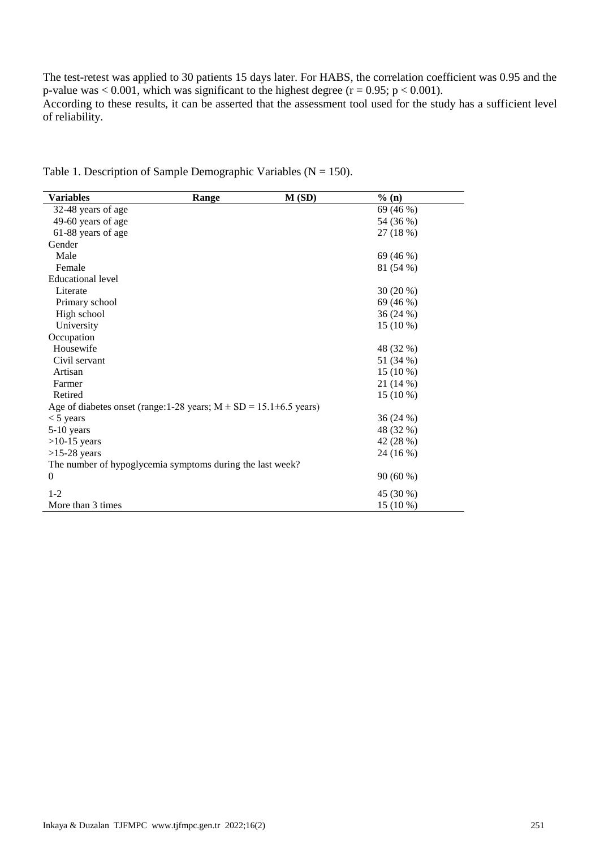The test-retest was applied to 30 patients 15 days later. For HABS, the correlation coefficient was 0.95 and the p-value was  $< 0.001$ , which was significant to the highest degree (r = 0.95; p  $< 0.001$ ). According to these results, it can be asserted that the assessment tool used for the study has a sufficient level of reliability.

| <b>Variables</b>                                                           | Range | M(SD) | $%$ (n)    |  |
|----------------------------------------------------------------------------|-------|-------|------------|--|
| 32-48 years of age                                                         |       |       | 69 (46 %)  |  |
| 49-60 years of age                                                         |       |       | 54 (36 %)  |  |
| 61-88 years of age                                                         |       |       | 27 (18 %)  |  |
| Gender                                                                     |       |       |            |  |
| Male                                                                       |       |       | 69 (46 %)  |  |
| Female                                                                     |       |       | 81 (54 %)  |  |
| <b>Educational level</b>                                                   |       |       |            |  |
| Literate                                                                   |       |       | 30 (20 %)  |  |
| Primary school                                                             |       |       | 69 (46 %)  |  |
| High school                                                                |       |       | 36 (24 %)  |  |
| University                                                                 |       |       | $15(10\%)$ |  |
| Occupation                                                                 |       |       |            |  |
| Housewife                                                                  |       |       | 48 (32 %)  |  |
| Civil servant                                                              |       |       | 51 (34 %)  |  |
| Artisan                                                                    |       |       | $15(10\%)$ |  |
| Farmer                                                                     |       |       | 21 (14 %)  |  |
| Retired                                                                    |       |       | $15(10\%)$ |  |
| Age of diabetes onset (range: 1-28 years; $M \pm SD = 15.1 \pm 6.5$ years) |       |       |            |  |
| $<$ 5 years                                                                |       |       | 36(24%)    |  |
| 5-10 years                                                                 |       |       | 48 (32 %)  |  |
| $>10-15$ years                                                             |       |       | 42 (28 %)  |  |
| $>15-28$ years                                                             |       |       | 24 (16 %)  |  |
| The number of hypoglycemia symptoms during the last week?                  |       |       |            |  |
| $\Omega$                                                                   |       |       | 90(60%)    |  |
| $1 - 2$                                                                    |       |       | 45 (30 %)  |  |
| More than 3 times                                                          |       |       | 15 (10 %)  |  |

Table 1. Description of Sample Demographic Variables ( $N = 150$ ).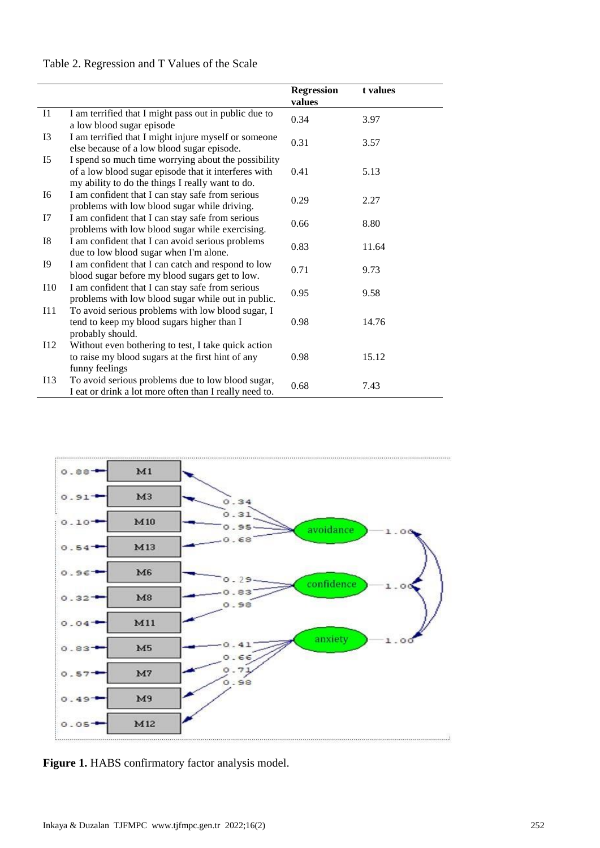# Table 2. Regression and T Values of the Scale

|                |                                                                                                                                                                 | <b>Regression</b><br>values | t values |
|----------------|-----------------------------------------------------------------------------------------------------------------------------------------------------------------|-----------------------------|----------|
| I1             | I am terrified that I might pass out in public due to<br>a low blood sugar episode                                                                              | 0.34                        | 3.97     |
| I3             | I am terrified that I might injure myself or someone<br>else because of a low blood sugar episode.                                                              | 0.31                        | 3.57     |
| I <sub>5</sub> | I spend so much time worrying about the possibility<br>of a low blood sugar episode that it interferes with<br>my ability to do the things I really want to do. | 0.41                        | 5.13     |
| I6             | I am confident that I can stay safe from serious<br>problems with low blood sugar while driving.                                                                | 0.29                        | 2.27     |
| I7             | I am confident that I can stay safe from serious<br>problems with low blood sugar while exercising.                                                             | 0.66                        | 8.80     |
| <b>I8</b>      | I am confident that I can avoid serious problems<br>due to low blood sugar when I'm alone.                                                                      | 0.83                        | 11.64    |
| <b>I9</b>      | I am confident that I can catch and respond to low<br>blood sugar before my blood sugars get to low.                                                            | 0.71                        | 9.73     |
| I10            | I am confident that I can stay safe from serious<br>problems with low blood sugar while out in public.                                                          | 0.95                        | 9.58     |
| I11            | To avoid serious problems with low blood sugar, I<br>tend to keep my blood sugars higher than I<br>probably should.                                             | 0.98                        | 14.76    |
| I12            | Without even bothering to test, I take quick action<br>to raise my blood sugars at the first hint of any<br>funny feelings                                      | 0.98                        | 15.12    |
| I13            | To avoid serious problems due to low blood sugar,<br>I eat or drink a lot more often than I really need to.                                                     | 0.68                        | 7.43     |



Figure 1. HABS confirmatory factor analysis model.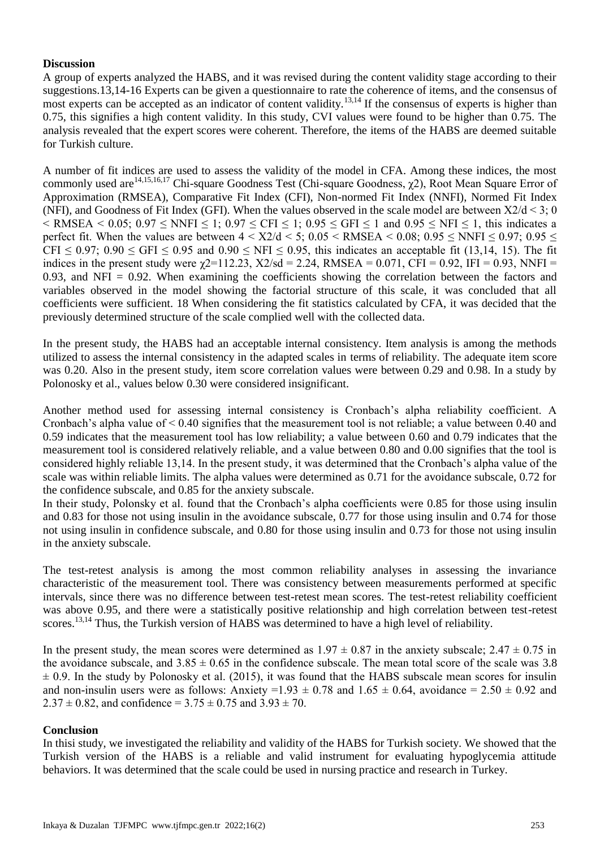### **Discussion**

A group of experts analyzed the HABS, and it was revised during the content validity stage according to their suggestions.13,14-16 Experts can be given a questionnaire to rate the coherence of items, and the consensus of most experts can be accepted as an indicator of content validity.<sup>13,14</sup> If the consensus of experts is higher than 0.75, this signifies a high content validity. In this study, CVI values were found to be higher than 0.75. The analysis revealed that the expert scores were coherent. Therefore, the items of the HABS are deemed suitable for Turkish culture.

A number of fit indices are used to assess the validity of the model in CFA. Among these indices, the most commonly used are<sup>14,15,16,17</sup> Chi-square Goodness Test (Chi-square Goodness, γ2), Root Mean Square Error of Approximation (RMSEA), Comparative Fit Index (CFI), Non-normed Fit Index (NNFI), Normed Fit Index (NFI), and Goodness of Fit Index (GFI). When the values observed in the scale model are between Χ2/d < 3; 0  $\leq$  RMSEA  $\leq$  0.05; 0.97  $\leq$  NNFI  $\leq$  1; 0.97  $\leq$  CFI  $\leq$  1; 0.95  $\leq$  GFI  $\leq$  1 and 0.95  $\leq$  NFI  $\leq$  1, this indicates a perfect fit. When the values are between  $4 < X/2/d < 5$ ;  $0.05 < RMSEA < 0.08$ ;  $0.95 < NNFI < 0.97$ ;  $0.95 <$ CFI  $\leq$  0.97; 0.90  $\leq$  GFI  $\leq$  0.95 and 0.90  $\leq$  NFI  $\leq$  0.95, this indicates an acceptable fit (13,14, 15). The fit indices in the present study were  $\chi$ 2=112.23, X2/sd = 2.24, RMSEA = 0.071, CFI = 0.92, IFI = 0.93, NNFI = 0.93, and NFI = 0.92. When examining the coefficients showing the correlation between the factors and variables observed in the model showing the factorial structure of this scale, it was concluded that all coefficients were sufficient. 18 When considering the fit statistics calculated by CFA, it was decided that the previously determined structure of the scale complied well with the collected data.

In the present study, the HABS had an acceptable internal consistency. Item analysis is among the methods utilized to assess the internal consistency in the adapted scales in terms of reliability. The adequate item score was 0.20. Also in the present study, item score correlation values were between 0.29 and 0.98. In a study by Polonosky et al., values below 0.30 were considered insignificant.

Another method used for assessing internal consistency is Cronbach's alpha reliability coefficient. A Cronbach's alpha value of  $\leq 0.40$  signifies that the measurement tool is not reliable; a value between 0.40 and 0.59 indicates that the measurement tool has low reliability; a value between 0.60 and 0.79 indicates that the measurement tool is considered relatively reliable, and a value between 0.80 and 0.00 signifies that the tool is considered highly reliable 13,14. In the present study, it was determined that the Cronbach's alpha value of the scale was within reliable limits. The alpha values were determined as 0.71 for the avoidance subscale, 0.72 for the confidence subscale, and 0.85 for the anxiety subscale.

In their study, Polonsky et al. found that the Cronbach's alpha coefficients were 0.85 for those using insulin and 0.83 for those not using insulin in the avoidance subscale, 0.77 for those using insulin and 0.74 for those not using insulin in confidence subscale, and 0.80 for those using insulin and 0.73 for those not using insulin in the anxiety subscale.

The test-retest analysis is among the most common reliability analyses in assessing the invariance characteristic of the measurement tool. There was consistency between measurements performed at specific intervals, since there was no difference between test-retest mean scores. The test-retest reliability coefficient was above 0.95, and there were a statistically positive relationship and high correlation between test-retest scores.<sup>13,14</sup> Thus, the Turkish version of HABS was determined to have a high level of reliability.

In the present study, the mean scores were determined as  $1.97 \pm 0.87$  in the anxiety subscale;  $2.47 \pm 0.75$  in the avoidance subscale, and  $3.85 \pm 0.65$  in the confidence subscale. The mean total score of the scale was 3.8  $\pm$  0.9. In the study by Polonosky et al. (2015), it was found that the HABS subscale mean scores for insulin and non-insulin users were as follows: Anxiety =1.93  $\pm$  0.78 and 1.65  $\pm$  0.64, avoidance = 2.50  $\pm$  0.92 and  $2.37 \pm 0.82$ , and confidence =  $3.75 \pm 0.75$  and  $3.93 \pm 70$ .

#### **Conclusion**

In thisi study, we investigated the reliability and validity of the HABS for Turkish society. We showed that the Turkish version of the HABS is a reliable and valid instrument for evaluating hypoglycemia attitude behaviors. It was determined that the scale could be used in nursing practice and research in Turkey.